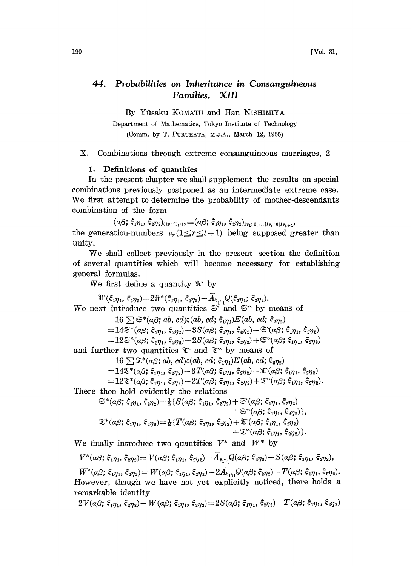#### 44. Probabilities on Inheritance in Consanguineous Families. XIII

By Yfisaku KOMATU and Han NISHIMIYA

Department of Mathematics, Tokyo Institute of Technology (Comm. by T. FURUHATA, M.J.A., March 12, 1955)

X. Combinations through extreme consanguineous marriages, 2

#### 1. Definitions of quantities

In the present chapter we shall supplement the results on special combinations previously postponed as an intermediate extreme case. We first attempt to determine the probability of mother-descendants combination of the form

 $(\alpha\beta;\xi_1\eta_1,\xi_2\eta_2)_{(1\mathcal{V};0)}=[\alpha\beta;\xi_1\eta_1,\xi_2\eta_2]_{1\mathcal{V}_1;0|...|1\mathcal{V}_k;0|1\mathcal{V}_{k+1}},$ the generation-numbers  $\nu_r(1 \leq r \leq t+1)$  being supposed greater than unity.

We shall collect previously in the present section the definition of several quantities which will become necessary for establishing general formulas.

We first define a quantity  $\Re$  by

 $\Re(\xi_{1\eta_1}, \xi_{2\eta_2}) = 2\Re^*(\xi_{1\eta_1}, \xi_{2\eta_2}) - \bar{A}_{\xi_{1\eta_1}} Q(\xi_{1\eta_1}; \xi_{2\eta_2}).$ We next introduce two quantities  $\mathfrak{S}^{\dagger}$  and  $\mathfrak{S}^{\dagger}$  by means of<br>  $16 \sum \mathfrak{S}^*(a\beta; ab, cd) \in (ab, cd; \xi_m)E(ab, cd; \xi_m)$  $16 \sum \mathfrak{S}^*(\alpha \beta; ab, cd) \varepsilon(ab, cd; \xi_{1} \eta_1) E(ab, cd; \xi_{2} \eta_2)$  $=14\mathfrak{S}^*(\alpha\beta;\, \xi_{1\eta_1},\, \xi_{2\eta_2})-3S(\alpha\beta;\, \xi_{1\eta_1},\, \xi_{2\eta_2})-\mathfrak{S}(\alpha\beta;\, \xi_{1\eta_1},\, \xi_{2\eta_2})\ =12\mathfrak{S}^*(\alpha\beta;\, \xi_{1\eta_1},\, \xi_{2\eta_2})-2S(\alpha\beta;\, \xi_{1\eta_1},\, \xi_{2\eta_2})+\mathfrak{S}^*(\alpha\beta;\, \xi_{1\eta_1},\, \xi_{2\eta_2})$ and further two quantities  $\mathfrak{T}$  and  $\mathfrak{T}$  by means of  $16 \sum \mathfrak{T}^*(a\beta; ab, cd) \in (ab, cd; \xi, n) E(ab, cd; \xi)$ r two quantities  $\mathfrak{T}$  and  $\mathfrak{T}$  by means (<br>16  $\sum \mathfrak{T}^*(\alpha\beta; ab, cd)$ ; (ab, cd;  $\xi_{1}\eta_{1}$ ) $E(ab, cd;$  $=14\mathfrak{T}^*(\alpha\beta;\xi_1\eta_1,\xi_2\eta_2)-3T(\alpha\beta;\xi_1\eta_1,\xi_2\eta_2)-\mathfrak{T}(\alpha\beta;\xi_1\eta_1,\xi_2\eta_2)$  $=$   $12\mathfrak{X}^{*}(a\beta;\xi_{1\eta_{1}},\xi_{2\eta_{2}})$   $-2T(a\beta;\xi_{1\eta_{1}},\xi_{2\eta_{2}})+\mathfrak{X}^{*}(a\beta;\xi_{1\eta_{1}},\xi_{2\eta_{2}}).$ There then hold evidently the relations  $\mathfrak{S}^*(a\beta; \xi_1\eta_1, \xi_2\eta_2) = \frac{1}{2} \{ S(a\beta; \xi_1\eta_1, \xi_2\eta_2) + \mathfrak{S}(a\beta; \xi_1\eta_1, \xi_2\eta_2) \}$  $+\mathfrak{S}(\alpha\beta;\xi_1\eta_1,\xi_2\eta_2)\},$  $\mathfrak{T}^*(\alpha\beta;\xi_1\eta_1,\xi_2\eta_2) = \frac{1}{2} \{T(\alpha\beta;\xi_1\eta_1,\xi_2\eta_2) + \mathfrak{T}(\alpha\beta;\xi_1\eta_1,\xi_2\eta_2)\}$ 

$$
+\mathfrak{T}^{\vee\!}(\alpha\beta;\xi_1\eta_1,\xi_2\eta_2)\}.
$$

We finally introduce two quantities  $V^*$  and  $W^*$  by

$$
V^*(\alpha\beta;\,\xi_{1\eta_1},\,\xi_{2\eta_2})\!=V(\alpha\beta;\,\xi_{1\eta_1},\,\xi_{2\eta_2})\!-\!A_{\xi_1\eta_1}Q(\alpha\beta;\,\xi_{2\eta_2})\!-\!S(\alpha\beta;\,\xi_{1\eta_1},\,\xi_{2\eta_2}),
$$

 $W^{*}(a\beta;\xi_{1\eta_{1}},\xi_{2\eta_{2}})=W(a\beta;\xi_{1\eta_{1}},\xi_{2\eta_{2}})-2\bar{A}_{\xi_{1\eta_{1}}}Q(a\beta;\xi_{2\eta_{2}})-T(a\beta;\xi_{1\eta_{1}},\xi_{2\eta_{2}}).$ However, though we have not yet explicitly noticed, there holds a

remarkable identity<br> $2V(\alpha\beta; \xi_1\eta_1, \xi_2\eta_2) - W(\alpha\beta; \xi_1\eta_1, \xi_2\eta_2) = 2S(\alpha\beta; \xi_1\eta_1, \xi_2\eta_2) - T(\alpha\beta; \xi_1\eta_1, \xi_2\eta_2)$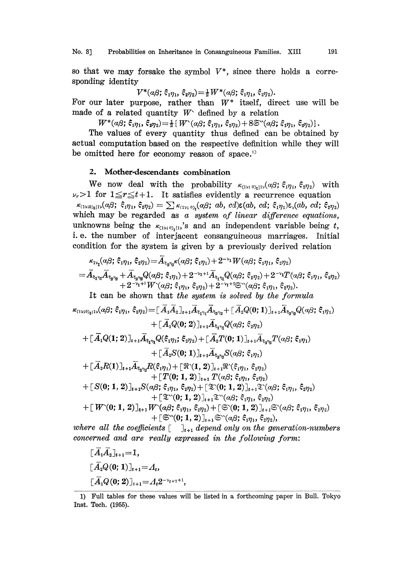No. 3] Probabilities on Inheritance in Consanguineous Families. XIII 191

so that we may forsake the symbol  $V^*$ , since there holds a corresponding identity

 $V^*(\alpha\beta; \xi_1\eta_1, \xi_2\eta_2) = \frac{1}{2}W^*(\alpha\beta; \xi_1\eta_1, \xi_2\eta_2).$ 

For our later purpose, rather than  $W^*$  itself, direct use will be made of a related quantity  $W<sup>^</sup>$  defined by a relation

 $W^*(\alpha\beta; \xi_1\eta_1, \xi_2\eta_2) = \frac{1}{2} \{ W^*(\alpha\beta; \xi_1\eta_1, \xi_2\eta_2) + 8\mathfrak{S}^*(\alpha\beta; \xi_1\eta_1, \xi_2\eta_2) \}.$ 

The values of every quantity thus defined can be obtained by actual computation based on the respective definition while they will be omitted here for economy reason of space.

## 2. Mother-descendants combination

We now deal with the probability  $\kappa_{(1v;\;0)_t|1v}(\alpha\beta;\; \hat{\xi}_1\eta_1,\; \hat{\xi}_2\eta_2)$  with  $\nu_r > 1$  for  $1 \leq r \leq t+1$ . It satisfies evidently a recurrence equation  $\kappa_{(1\nu;\theta)}(a\beta; \xi_1\eta_1, \xi_2\eta_2) = \sum \kappa_{(1\nu)}\varphi_t(a\beta; ab, cd) \epsilon(ab, cd; \xi_1\eta_1) \epsilon_{\nu}(ab, cd; \xi_2\eta_2)$ which may be regarded as  $a$  system of linear difference equations, unknowns being the  $\kappa_{(1y, 0), [1y]}$ 's and an independent variable being t, i.e. the number of interjacent consanguineous marriages. Initial condition for the system is given by a previously derived relation

$$
\begin{aligned} &\kappa_{1\gamma_{1}}(a\beta;\,\xi_{1\eta_{1}},\,\xi_{2\eta_{2}})\!=\!A_{\xi_{2}\eta_{2}}\!\kappa(a\beta;\,\xi_{1\eta_{1}})+2^{-\gamma_{1}}W(a\beta;\,\xi_{1\eta_{1}},\,\xi_{2\eta_{2}})\\ =&\,\bar{A}_{\xi_{1}\eta_{1}}\bar{A}_{\xi_{2}\eta_{2}}+\bar{A}_{\xi_{2}\eta_{2}}Q(a\beta;\,\xi_{1\eta_{1}})+2^{-\gamma_{1}+1}\bar{A}_{\xi_{1}\eta_{1}}Q(a\beta;\,\xi_{2\eta_{2}})+2^{-\gamma_{1}}T(a\beta;\,\xi_{1\eta_{1}},\,\xi_{2\eta_{2}})\\ &\quad+2^{-\gamma_{1}+1}W^{\cdot}(a\beta;\,\xi_{1\eta_{1}},\,\xi_{2\eta_{2}})+2^{-\gamma_{1}+2}\mathbb{S}^{\cdot\cdot}(a\beta;\,\xi_{1\eta_{1}},\,\xi_{2\eta_{2}}). \end{aligned}
$$

It can be shown that the system is solved by the formula

$$
\kappa_{(1y;0)_{t}11}(\alpha\beta;\,\hat{\xi}_{1}\eta_{1},\,\hat{\xi}_{2}\eta_{2}) = [\,\bar{A}_{1}\bar{A}_{2}]_{t+1}\bar{A}_{\xi_{1}\eta_{1}}\bar{A}_{\xi_{2}\eta_{2}} + [\,\bar{A}_{2}Q(0;1)]_{t+1}\bar{A}_{\xi_{2}\eta_{2}}Q(\alpha\beta;\,\hat{\xi}_{1}\eta_{1})\n+ [\,\bar{A}_{1}Q(0;2)]_{t+1}\bar{A}_{\xi_{1}\eta_{1}}Q(\alpha\beta;\,\hat{\xi}_{2}\eta_{2})\n+ [\,\bar{A}_{1}Q(1;2)]_{t+1}\bar{A}_{\xi_{1}\eta_{1}}Q(\xi_{1}\eta_{1};\,\hat{\xi}_{2}\eta_{2}) + [\,\bar{A}_{2}T(0;1)]_{t+1}\bar{A}_{\xi_{2}\eta_{2}}T(\alpha\beta;\,\hat{\xi}_{1}\eta_{1})\n+ [\,\bar{A}_{2}S(0;1)]_{t+1}\bar{A}_{\xi_{2}\eta_{2}}S(\alpha\beta;\,\hat{\xi}_{1}\eta_{1})\n+ [\,\bar{A}_{2}R(1)]_{t+1}\bar{A}_{\xi_{2}\eta_{2}}R(\xi_{1}\eta_{1}) + [\,\Re(1,2)]_{t+1}\Re(\xi_{1}\eta_{1},\,\hat{\xi}_{2}\eta_{2})\n+ [\,\underline{T}(0;1,2)]_{t+1}T(\alpha\beta;\,\hat{\xi}_{1}\eta_{1},\,\hat{\xi}_{2}\eta_{2})\n+ [\,\mathcal{S}(0;1,2)]_{t+1}S(\alpha\beta;\,\hat{\xi}_{1}\eta_{1},\,\hat{\xi}_{2}\eta_{2}) + [\,\Im(0;1,2)]_{t+1}\Im(\alpha\beta;\,\hat{\xi}_{1}\eta_{1},\,\hat{\xi}_{2}\eta_{2})\n+ [\,\Im(0;1,2)]_{t+1}\Im(\alpha\beta;\,\hat{\xi}_{1}\eta_{1},\,\hat{\xi}_{2}\eta_{2})\n+ [\,\Im(0;1,2)]_{t+1}\Im(\alpha\beta;\,\hat{\xi}_{1}\eta_{1},\,\hat{\xi}_{2}\eta_{2})\n+ [\,\Im(0;1,2)]_{t+1}\Im(\alpha\beta;\,\hat{\xi}_{1}\eta_{1},\,\hat{\xi}_{2}\eta_{2})\n+ [\,\Im(0;1,2)]_{t+1}\Im(\alpha\beta;\,\hat{\xi}_{1}\eta_{1},\,\hat{\xi}_{2}\eta_{
$$

where all the coefficients  $\begin{bmatrix} 1 \\ 1 \end{bmatrix}$  depend only on the generation-numbers concerned and are really expressed in the following form:

$$
\begin{aligned} &&\texttt{[}A_1A_2\texttt{]}_{t+1} = 1,\\ &&\texttt{[} \bar{A_2}Q(0;1)\texttt{]}_{t+1} = A_t,\\ &&\texttt{[} \bar{A_1}Q(0;2)\texttt{]}_{t+1} = A_t 2^{-\nu_{t+1}+1}, \end{aligned}
$$

<sup>1)</sup> Full tables for these values wilI be listed in a forthcoming paper in Bull. Tokyo Inst. Tech. (1955).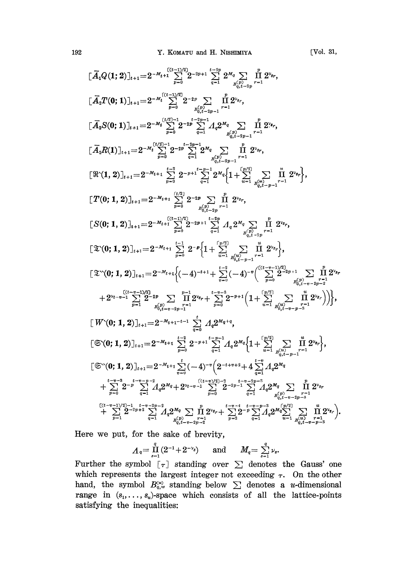$$
\begin{split}\n&[\overline{A}_{1}Q(1;2)]_{t+1} = 2^{-M_{t}+1} \sum_{r=0}^{(t-1)/2} 2^{-2r+1} \sum_{q=1}^{t-1} 2^{M_{q}} \sum_{p_{q_{t-2p}}^{(t)} r-1} \overline{1} \, 2^{y_{q}}, \\
&[\overline{A}_{2}T(0;1)]_{t+1} = 2^{-M_{t}} \sum_{r=0}^{(t-1)/2} 2^{-2r} \sum_{p_{r}^{(t)} \leq 2^{-2r}} \overline{1} \, 2^{y_{q}}, \\
&[\overline{A}_{2}S(0;1)]_{t+1} = 2^{-M_{t}} \sum_{p=0}^{(t/2)-1} 2^{-2r} \sum_{q_{r}^{(t)} \leq 2^{-1}} \overline{1} \, 2^{y_{q}}, \\
&[\overline{A}_{2}S(0;1)]_{t+1} = 2^{-M_{t}} \sum_{p=0}^{(t/2)-1} 2^{-2r} \sum_{q=1}^{t-2p-1} A_{q} 2^{M_{q}} \sum_{q_{t}^{(t)} \leq 2^{r}} \overline{1} \, 2^{y_{r}}, \\
&[\overline{A}_{2}R(1)]_{t+1} = 2^{-M_{t}} \sum_{p=0}^{(t/2)-1} 2^{-2r} \sum_{q=1}^{t-2p-1} 2^{M_{q}} \sum_{q_{t}^{(t)} \leq 2^{r}} \overline{1} \, 2^{y_{r}}, \\
&[\Re(1,2)]_{t+1} = 2^{-M_{t}+1} \sum_{p=0}^{t-3} 2^{-2r} \sum_{q_{t}^{(t)} \leq 2^{r}} \overline{1} \, 2^{y_{q}}, \\
&[\Gamma(0;1,2)]_{t+1} = 2^{-M_{t}+1} \sum_{p=0}^{(t/2)} 2^{-2r} \sum_{q_{t}^{(t)} \leq 2^{r}} \overline{1} \, 2^{y_{q}}, \\
&[\Im(0;1,2)]_{t+1} = 2^{-M_{t}+1} \sum_{p=0}^{(t/2)} 2^{-2r} \sum_{q_{t}^{(t)} \leq 2^{r}} \overline{1} \, 2^{y_{r}}, \\
&[\Im(0;1,2)]_{t+1} = 2^{-M_{t}+1
$$

Here we put, for the sake of brevity,

$$
\Lambda_q = \prod_{s=1}^q (2^{-1} + 2^{-\nu_s})
$$
 and  $M_q = \sum_{s=1}^q \nu_s$ .

Further the symbol  $[\tau]$  standing over  $\Sigma$  denotes the Gauss' one which represents the largest integer not exceeding  $\tau$ . On the other hand, the symbol  $B_{q,w}^{(\omega)}$  standing below  $\sum$  denotes a *u*-dimensional range in  $(s_1, \ldots, s_u)$ -space which consists of all the lattice-points satisfying the inequalities: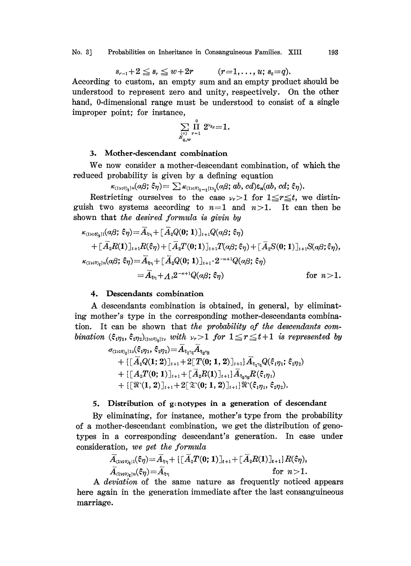$$
s_{r-1}+2\le s_r\le w+2r \qquad (r=1,\ldots,u;\, s_0=q).
$$

According to custom, an empty sum and an empty product should be understood to represent zero and unity, respectively. On the other hand, 0-dimensional range must be understood to consist of a single improper point; for instance,

$$
\operatornamewithlimits{\sum}\limits_{\stackrel{(v)}{s_{q,w}}} \operatornamewithlimits{\prod}\limits_{r=1}^{\scriptscriptstyle 0} 2^{\nu_{s_r}}{=}1.
$$

## :3. Mother-descendant combination

We now consider a mother-descendant combination, of which the reduced probability is given by a defining equation

 $\kappa_{(1v,0)_t|n}(\alpha\beta; \hat{\xi}\eta) = \sum \kappa_{(1v,0)_t-1|1v_t}(\alpha\beta; ab, cd)\varepsilon_n(ab, cd; \hat{\xi}\eta).$ <br>Restricting ourselves to the case  $\nu_r > 1$  for  $1 \le r \le t$ , we distinguish two systems according to  $n=1$  and  $n>1$ . It can then be shown that the desired formula is givin by

$$
\kappa_{\langle 1 \vee;\, 0\rangle_{\sharp} \vert 1}(\alpha \beta;\, \hat{\xi}\eta) = \overline{A}_{\xi\eta} + [\overline{A}_2 Q(0;\,1)]_{t+1} Q(\alpha \beta;\, \hat{\xi}\eta) \n+ [\overline{A}_2 R(1)]_{t+1} R(\hat{\xi}\eta) + [\overline{A}_2 T(0;\,1)]_{t+1} T(\alpha \beta;\, \hat{\xi}\eta) + [\overline{A}_2 S(0;\,1)]_{t+1} S(\alpha \beta;\, \hat{\xi}\eta),\n\kappa_{\langle 1 \vee;\, 0\rangle_{\sharp} \vert n}(\alpha \beta;\, \hat{\xi}\eta) = \overline{A}_{\xi\eta} + [\overline{A}_2 Q(0;\,1)]_{t+1} \cdot 2^{-n+1} Q(\alpha \beta;\, \hat{\xi}\eta) \n= \overline{A}_{\xi\eta} + A_t 2^{-n+1} Q(\alpha \beta;\, \hat{\xi}\eta) \quad \text{for } n > 1.
$$

#### 4. Descendants combination

A descendants combination is obtained, in general, by eliminating mother's type in the corresponding mother-descendants combination. It can be shown that the probability of the descendants combination  $(\xi_1 \eta_1, \xi_2 \eta_2)_{(1 \vee 0)}$ , with  $\nu_r > 1$  for  $1 \leq r \leq t + 1$  is represented by

$$
\begin{aligned} &\sigma_{\text{\tiny{(1)}$},0}\!\!\left(\xi_1\eta_1,\,\xi_2\eta_2\right)\!=\!\overline{A}_{\xi_1\eta_1}\!\overline{A}_{\xi_2\eta_2} \\&+\{ \big[\,\overline{A}_1Q(1;2)\,\big]_{t+1}+2\big[\,T(0;1,2)\,\big]_{t+1}\big\}\,\overline{A}_{\xi_1\eta_1}Q(\xi_1\eta_1;\,\xi_2\eta_2) \\&+\{ \big[\,A_2T(0;1)\,\big]_{t+1}+\big[\,\overline{A}_2R(1)\,\big]_{t+1}\big\}\,\overline{A}_{\xi_2\eta_2}R(\xi_1\eta_1) \\&+\{ \big[\,\Re^\star(1,2)\,\big]_{t+1}+2\big[\,\Im^\star(0;1,2)\,\big]_{t+1}\big\}\,\Re^\star(\xi_1\eta_1,\,\xi_2\eta_2). \end{aligned}
$$

## 5. Distribution of genotypes in a generation of descendant

By eliminating, for instance, mother's type from the probability of a mother-descendant combination, we get the distribution of genotypes in a corresponding descendant's generation. In case under consideration, we get the formula

$$
\overline{A}_{(1\vee i0)_t|1}(\hat{\epsilon}\eta) = \overline{A}_{\bar{\epsilon}\eta} + \left\{ \left[ \overline{A}_2 T(0; 1) \right]_{t+1} + \left[ \overline{A}_2 R(1) \right]_{t+1} \right\} R(\hat{\epsilon}\eta),
$$
\n
$$
\overline{A}_{(1\vee i0)_t|n}(\hat{\epsilon}\eta) = \overline{A}_{\bar{\epsilon}\eta} \qquad \text{for } n > 1.
$$

A deviation of the same nature as frequently noticed appears here again in the generation immediate after the last consanguineous marriage.